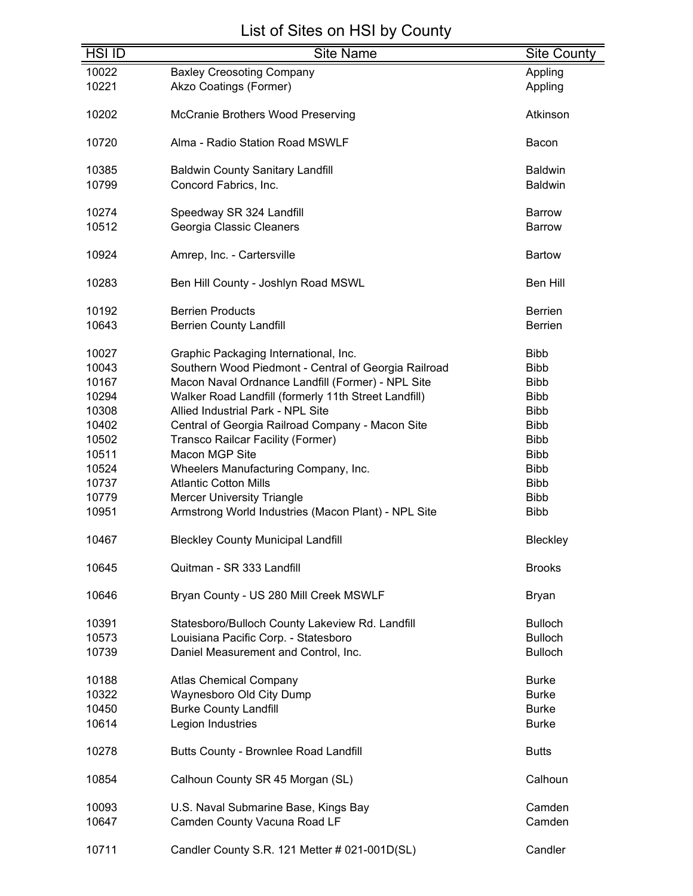| <b>HSI ID</b> | <b>Site Name</b>                                     | Site County     |
|---------------|------------------------------------------------------|-----------------|
| 10022         | <b>Baxley Creosoting Company</b>                     | Appling         |
|               |                                                      |                 |
| 10221         | Akzo Coatings (Former)                               | Appling         |
| 10202         | McCranie Brothers Wood Preserving                    | Atkinson        |
| 10720         | Alma - Radio Station Road MSWLF                      | Bacon           |
| 10385         | <b>Baldwin County Sanitary Landfill</b>              | <b>Baldwin</b>  |
| 10799         | Concord Fabrics, Inc.                                | <b>Baldwin</b>  |
| 10274         | Speedway SR 324 Landfill                             | <b>Barrow</b>   |
| 10512         | Georgia Classic Cleaners                             | <b>Barrow</b>   |
|               |                                                      |                 |
| 10924         | Amrep, Inc. - Cartersville                           | <b>Bartow</b>   |
| 10283         | Ben Hill County - Joshlyn Road MSWL                  | <b>Ben Hill</b> |
| 10192         | <b>Berrien Products</b>                              | <b>Berrien</b>  |
| 10643         | <b>Berrien County Landfill</b>                       | <b>Berrien</b>  |
|               |                                                      |                 |
| 10027         | Graphic Packaging International, Inc.                | <b>Bibb</b>     |
| 10043         | Southern Wood Piedmont - Central of Georgia Railroad | <b>Bibb</b>     |
| 10167         | Macon Naval Ordnance Landfill (Former) - NPL Site    | <b>Bibb</b>     |
| 10294         | Walker Road Landfill (formerly 11th Street Landfill) | <b>Bibb</b>     |
| 10308         | Allied Industrial Park - NPL Site                    | <b>Bibb</b>     |
| 10402         | Central of Georgia Railroad Company - Macon Site     | <b>Bibb</b>     |
|               |                                                      |                 |
| 10502         | Transco Railcar Facility (Former)                    | <b>Bibb</b>     |
| 10511         | Macon MGP Site                                       | <b>Bibb</b>     |
| 10524         | Wheelers Manufacturing Company, Inc.                 | <b>Bibb</b>     |
| 10737         | <b>Atlantic Cotton Mills</b>                         | <b>Bibb</b>     |
| 10779         | <b>Mercer University Triangle</b>                    | <b>Bibb</b>     |
| 10951         | Armstrong World Industries (Macon Plant) - NPL Site  | <b>Bibb</b>     |
| 10467         | <b>Bleckley County Municipal Landfill</b>            | Bleckley        |
| 10645         | Quitman - SR 333 Landfill                            | <b>Brooks</b>   |
| 10646         | Bryan County - US 280 Mill Creek MSWLF               | Bryan           |
| 10391         | Statesboro/Bulloch County Lakeview Rd. Landfill      | <b>Bulloch</b>  |
| 10573         | Louisiana Pacific Corp. - Statesboro                 | <b>Bulloch</b>  |
| 10739         |                                                      | <b>Bulloch</b>  |
|               | Daniel Measurement and Control, Inc.                 |                 |
| 10188         | <b>Atlas Chemical Company</b>                        | <b>Burke</b>    |
| 10322         | Waynesboro Old City Dump                             | <b>Burke</b>    |
| 10450         | <b>Burke County Landfill</b>                         | <b>Burke</b>    |
| 10614         | Legion Industries                                    | <b>Burke</b>    |
| 10278         | Butts County - Brownlee Road Landfill                | <b>Butts</b>    |
|               |                                                      |                 |
| 10854         | Calhoun County SR 45 Morgan (SL)                     | Calhoun         |
| 10093         | U.S. Naval Submarine Base, Kings Bay                 | Camden          |
| 10647         | Camden County Vacuna Road LF                         | Camden          |
|               |                                                      |                 |
| 10711         | Candler County S.R. 121 Metter # 021-001D(SL)        | Candler         |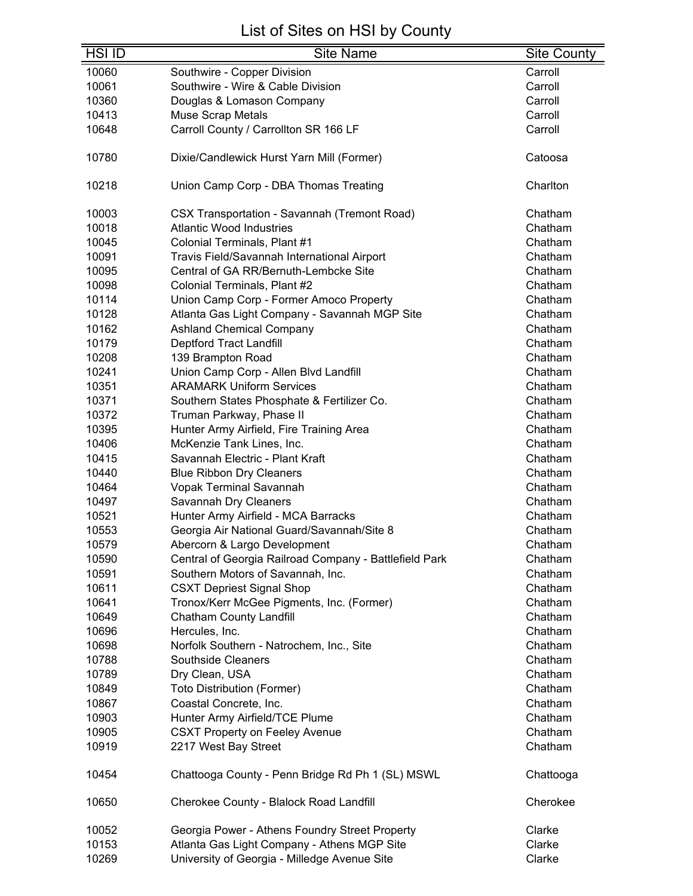| <b>HSI ID</b> | <b>Site Name</b>                                       | <b>Site County</b> |
|---------------|--------------------------------------------------------|--------------------|
| 10060         | Southwire - Copper Division                            | Carroll            |
| 10061         | Southwire - Wire & Cable Division                      | Carroll            |
| 10360         | Douglas & Lomason Company                              | Carroll            |
| 10413         | Muse Scrap Metals                                      | Carroll            |
| 10648         | Carroll County / Carrollton SR 166 LF                  | Carroll            |
|               |                                                        |                    |
| 10780         | Dixie/Candlewick Hurst Yarn Mill (Former)              | Catoosa            |
| 10218         | Union Camp Corp - DBA Thomas Treating                  | Charlton           |
|               |                                                        |                    |
| 10003         | <b>CSX Transportation - Savannah (Tremont Road)</b>    | Chatham            |
| 10018         | <b>Atlantic Wood Industries</b>                        | Chatham            |
| 10045         | Colonial Terminals, Plant #1                           | Chatham            |
| 10091         | Travis Field/Savannah International Airport            | Chatham            |
| 10095         | Central of GA RR/Bernuth-Lembcke Site                  | Chatham            |
| 10098         | Colonial Terminals, Plant #2                           | Chatham            |
| 10114         | Union Camp Corp - Former Amoco Property                | Chatham            |
| 10128         | Atlanta Gas Light Company - Savannah MGP Site          | Chatham            |
| 10162         | <b>Ashland Chemical Company</b>                        | Chatham            |
| 10179         | Deptford Tract Landfill                                | Chatham            |
| 10208         | 139 Brampton Road                                      | Chatham            |
| 10241         | Union Camp Corp - Allen Blvd Landfill                  | Chatham            |
| 10351         | <b>ARAMARK Uniform Services</b>                        | Chatham            |
| 10371         | Southern States Phosphate & Fertilizer Co.             | Chatham            |
| 10372         | Truman Parkway, Phase II                               | Chatham            |
| 10395         | Hunter Army Airfield, Fire Training Area               | Chatham            |
| 10406         | McKenzie Tank Lines, Inc.                              | Chatham            |
| 10415         | Savannah Electric - Plant Kraft                        | Chatham            |
| 10440         | <b>Blue Ribbon Dry Cleaners</b>                        | Chatham            |
| 10464         | Vopak Terminal Savannah                                | Chatham            |
| 10497         | Savannah Dry Cleaners                                  | Chatham            |
| 10521         | Hunter Army Airfield - MCA Barracks                    | Chatham            |
| 10553         | Georgia Air National Guard/Savannah/Site 8             | Chatham            |
| 10579         | Abercorn & Largo Development                           | Chatham            |
| 10590         | Central of Georgia Railroad Company - Battlefield Park | Chatham            |
| 10591         | Southern Motors of Savannah, Inc.                      | Chatham            |
| 10611         | <b>CSXT Depriest Signal Shop</b>                       | Chatham            |
| 10641         | Tronox/Kerr McGee Pigments, Inc. (Former)              | Chatham            |
| 10649         | <b>Chatham County Landfill</b>                         | Chatham            |
| 10696         | Hercules, Inc.                                         | Chatham            |
| 10698         | Norfolk Southern - Natrochem, Inc., Site               | Chatham            |
| 10788         | <b>Southside Cleaners</b>                              | Chatham            |
| 10789         | Dry Clean, USA                                         | Chatham            |
| 10849         | <b>Toto Distribution (Former)</b>                      | Chatham            |
| 10867         | Coastal Concrete, Inc.                                 | Chatham            |
| 10903         | Hunter Army Airfield/TCE Plume                         | Chatham            |
| 10905         | <b>CSXT Property on Feeley Avenue</b>                  | Chatham            |
| 10919         | 2217 West Bay Street                                   | Chatham            |
|               |                                                        |                    |
| 10454         | Chattooga County - Penn Bridge Rd Ph 1 (SL) MSWL       | Chattooga          |
| 10650         | Cherokee County - Blalock Road Landfill                | Cherokee           |
| 10052         | Georgia Power - Athens Foundry Street Property         | Clarke             |
| 10153         | Atlanta Gas Light Company - Athens MGP Site            | Clarke             |
| 10269         | University of Georgia - Milledge Avenue Site           | Clarke             |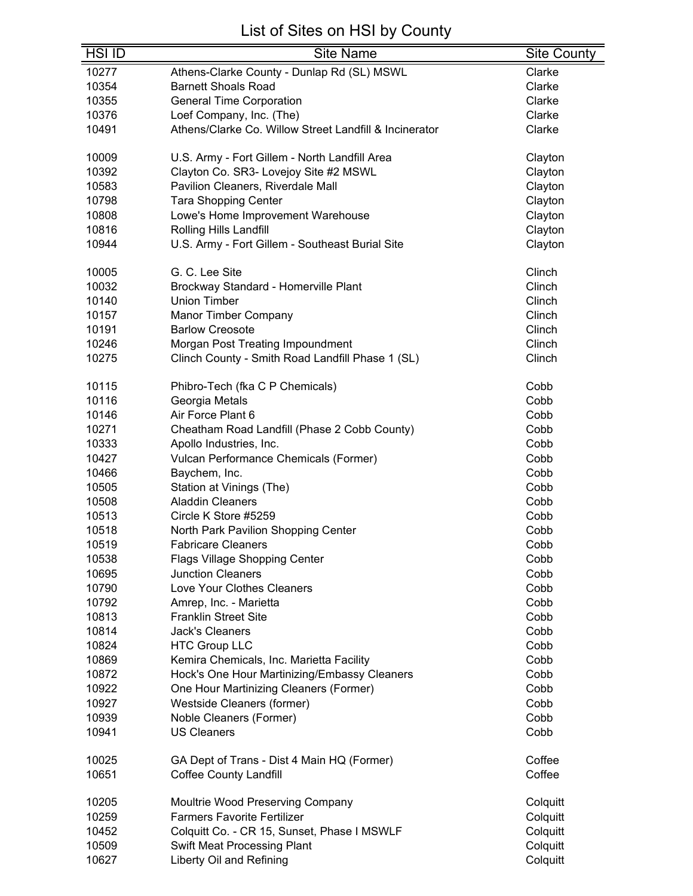| <b>HSI ID</b> | <b>Site Name</b>                                            | <b>Site County</b> |
|---------------|-------------------------------------------------------------|--------------------|
| 10277         | Athens-Clarke County - Dunlap Rd (SL) MSWL                  | Clarke             |
| 10354         | <b>Barnett Shoals Road</b>                                  | Clarke             |
| 10355         | <b>General Time Corporation</b>                             | Clarke             |
| 10376         | Loef Company, Inc. (The)                                    | Clarke             |
| 10491         | Athens/Clarke Co. Willow Street Landfill & Incinerator      | Clarke             |
|               |                                                             |                    |
| 10009         | U.S. Army - Fort Gillem - North Landfill Area               | Clayton            |
| 10392         | Clayton Co. SR3- Lovejoy Site #2 MSWL                       | Clayton            |
| 10583         | Pavilion Cleaners, Riverdale Mall                           | Clayton            |
| 10798         | <b>Tara Shopping Center</b>                                 | Clayton            |
| 10808         | Lowe's Home Improvement Warehouse                           | Clayton            |
| 10816         | Rolling Hills Landfill                                      | Clayton            |
| 10944         | U.S. Army - Fort Gillem - Southeast Burial Site             | Clayton            |
| 10005         | G. C. Lee Site                                              | Clinch             |
| 10032         |                                                             | Clinch             |
| 10140         | Brockway Standard - Homerville Plant<br><b>Union Timber</b> | Clinch             |
| 10157         |                                                             | Clinch             |
|               | <b>Manor Timber Company</b>                                 |                    |
| 10191         | <b>Barlow Creosote</b>                                      | Clinch             |
| 10246         | Morgan Post Treating Impoundment                            | Clinch             |
| 10275         | Clinch County - Smith Road Landfill Phase 1 (SL)            | Clinch             |
| 10115         | Phibro-Tech (fka C P Chemicals)                             | Cobb               |
| 10116         | Georgia Metals                                              | Cobb               |
| 10146         | Air Force Plant 6                                           | Cobb               |
| 10271         | Cheatham Road Landfill (Phase 2 Cobb County)                | Cobb               |
| 10333         | Apollo Industries, Inc.                                     | Cobb               |
| 10427         | Vulcan Performance Chemicals (Former)                       | Cobb               |
| 10466         | Baychem, Inc.                                               | Cobb               |
| 10505         | Station at Vinings (The)                                    | Cobb               |
| 10508         | <b>Aladdin Cleaners</b>                                     | Cobb               |
| 10513         | Circle K Store #5259                                        | Cobb               |
| 10518         | North Park Pavilion Shopping Center                         | Cobb               |
| 10519         | <b>Fabricare Cleaners</b>                                   | Cobb               |
| 10538         | Flags Village Shopping Center                               | Cobb               |
| 10695         | <b>Junction Cleaners</b>                                    | Cobb               |
| 10790         | Love Your Clothes Cleaners                                  | Cobb               |
| 10792         | Amrep, Inc. - Marietta                                      | Cobb               |
| 10813         | <b>Franklin Street Site</b>                                 | Cobb               |
| 10814         | <b>Jack's Cleaners</b>                                      | Cobb               |
| 10824         | <b>HTC Group LLC</b>                                        | Cobb               |
| 10869         | Kemira Chemicals, Inc. Marietta Facility                    | Cobb               |
| 10872         | Hock's One Hour Martinizing/Embassy Cleaners                | Cobb               |
| 10922         | One Hour Martinizing Cleaners (Former)                      | Cobb               |
| 10927         | Westside Cleaners (former)                                  | Cobb               |
| 10939         | Noble Cleaners (Former)                                     | Cobb               |
| 10941         | <b>US Cleaners</b>                                          | Cobb               |
|               |                                                             |                    |
| 10025         | GA Dept of Trans - Dist 4 Main HQ (Former)                  | Coffee             |
| 10651         | <b>Coffee County Landfill</b>                               | Coffee             |
| 10205         | Moultrie Wood Preserving Company                            | Colquitt           |
| 10259         | <b>Farmers Favorite Fertilizer</b>                          | Colquitt           |
| 10452         | Colquitt Co. - CR 15, Sunset, Phase I MSWLF                 | Colquitt           |
| 10509         | <b>Swift Meat Processing Plant</b>                          | Colquitt           |
| 10627         | Liberty Oil and Refining                                    | Colquitt           |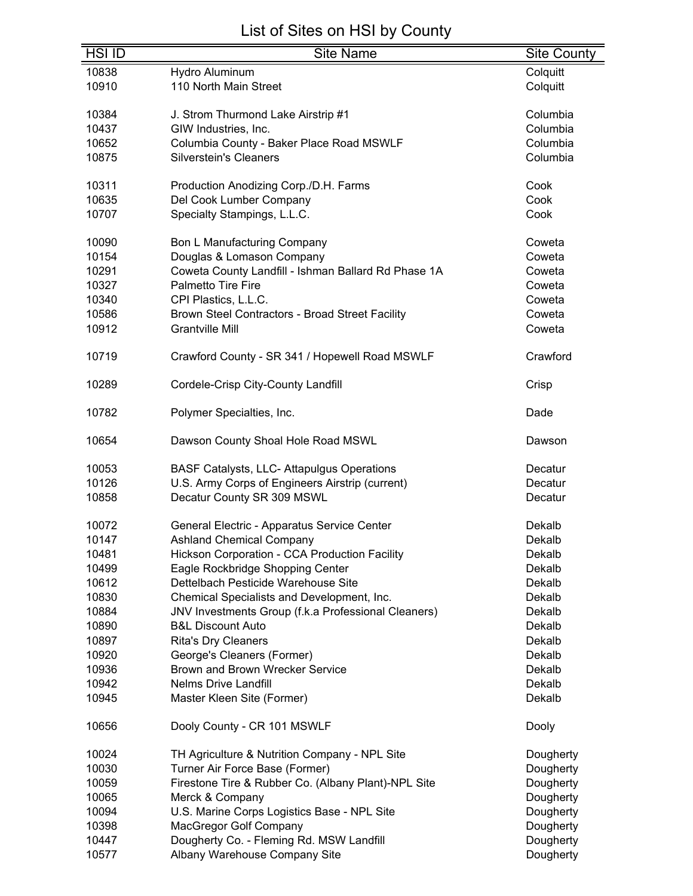| $H\overline{S}$ $I\overline{D}$ | <b>Site Name</b>                                     | <b>Site County</b> |
|---------------------------------|------------------------------------------------------|--------------------|
| 10838                           | Hydro Aluminum                                       | Colquitt           |
| 10910                           | 110 North Main Street                                | Colquitt           |
|                                 |                                                      |                    |
| 10384                           | J. Strom Thurmond Lake Airstrip #1                   | Columbia           |
| 10437                           | GIW Industries, Inc.                                 | Columbia           |
| 10652                           | Columbia County - Baker Place Road MSWLF             | Columbia           |
| 10875                           | <b>Silverstein's Cleaners</b>                        | Columbia           |
|                                 |                                                      |                    |
| 10311                           | Production Anodizing Corp./D.H. Farms                | Cook               |
| 10635                           | Del Cook Lumber Company                              | Cook               |
| 10707                           | Specialty Stampings, L.L.C.                          | Cook               |
|                                 |                                                      |                    |
| 10090                           | Bon L Manufacturing Company                          | Coweta             |
| 10154                           | Douglas & Lomason Company                            | Coweta             |
| 10291                           | Coweta County Landfill - Ishman Ballard Rd Phase 1A  | Coweta             |
| 10327                           | <b>Palmetto Tire Fire</b>                            | Coweta             |
| 10340                           | CPI Plastics, L.L.C.                                 | Coweta             |
| 10586                           | Brown Steel Contractors - Broad Street Facility      | Coweta             |
| 10912                           | <b>Grantville Mill</b>                               | Coweta             |
| 10719                           | Crawford County - SR 341 / Hopewell Road MSWLF       | Crawford           |
|                                 |                                                      |                    |
| 10289                           | Cordele-Crisp City-County Landfill                   | Crisp              |
| 10782                           | Polymer Specialties, Inc.                            | Dade               |
| 10654                           | Dawson County Shoal Hole Road MSWL                   | Dawson             |
| 10053                           | <b>BASF Catalysts, LLC- Attapulgus Operations</b>    | Decatur            |
| 10126                           | U.S. Army Corps of Engineers Airstrip (current)      | Decatur            |
| 10858                           | Decatur County SR 309 MSWL                           | Decatur            |
|                                 |                                                      |                    |
| 10072                           | General Electric - Apparatus Service Center          | Dekalb             |
| 10147                           | <b>Ashland Chemical Company</b>                      | Dekalb             |
| 10481                           | <b>Hickson Corporation - CCA Production Facility</b> | Dekalb             |
| 10499                           | Eagle Rockbridge Shopping Center                     | Dekalb             |
| 10612                           | Dettelbach Pesticide Warehouse Site                  | Dekalb             |
| 10830                           | Chemical Specialists and Development, Inc.           | Dekalb             |
| 10884                           | JNV Investments Group (f.k.a Professional Cleaners)  | Dekalb             |
| 10890                           | <b>B&amp;L Discount Auto</b>                         | Dekalb             |
| 10897                           | <b>Rita's Dry Cleaners</b>                           | Dekalb             |
| 10920                           | George's Cleaners (Former)                           | Dekalb             |
|                                 |                                                      |                    |
| 10936                           | Brown and Brown Wrecker Service                      | Dekalb             |
| 10942                           | <b>Nelms Drive Landfill</b>                          | Dekalb             |
| 10945                           | Master Kleen Site (Former)                           | Dekalb             |
| 10656                           | Dooly County - CR 101 MSWLF                          | Dooly              |
| 10024                           | TH Agriculture & Nutrition Company - NPL Site        | Dougherty          |
| 10030                           | Turner Air Force Base (Former)                       | Dougherty          |
| 10059                           | Firestone Tire & Rubber Co. (Albany Plant)-NPL Site  | Dougherty          |
| 10065                           | Merck & Company                                      | Dougherty          |
|                                 |                                                      |                    |
| 10094                           | U.S. Marine Corps Logistics Base - NPL Site          | Dougherty          |
| 10398                           | MacGregor Golf Company                               | Dougherty          |
| 10447                           | Dougherty Co. - Fleming Rd. MSW Landfill             | Dougherty          |
| 10577                           | Albany Warehouse Company Site                        | Dougherty          |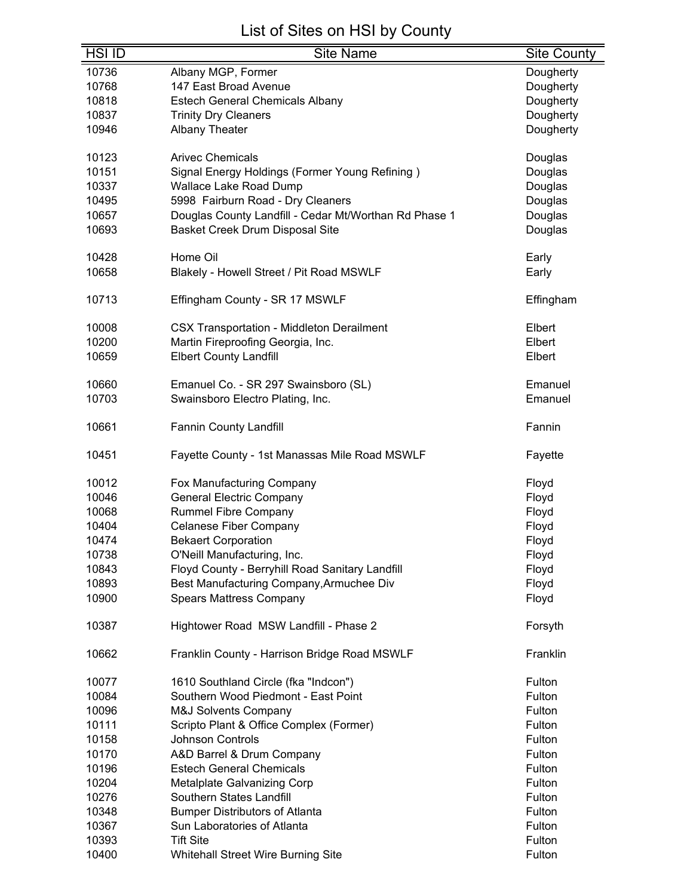| <b>HSI ID</b> | <b>Site Name</b>                                      | <b>Site County</b> |
|---------------|-------------------------------------------------------|--------------------|
| 10736         | Albany MGP, Former                                    | Dougherty          |
| 10768         | 147 East Broad Avenue                                 | Dougherty          |
| 10818         | <b>Estech General Chemicals Albany</b>                | Dougherty          |
| 10837         | <b>Trinity Dry Cleaners</b>                           | Dougherty          |
| 10946         | Albany Theater                                        | Dougherty          |
|               |                                                       |                    |
| 10123         | <b>Arivec Chemicals</b>                               | Douglas            |
| 10151         | Signal Energy Holdings (Former Young Refining)        | Douglas            |
| 10337         | <b>Wallace Lake Road Dump</b>                         | Douglas            |
| 10495         | 5998 Fairburn Road - Dry Cleaners                     | Douglas            |
| 10657         | Douglas County Landfill - Cedar Mt/Worthan Rd Phase 1 | Douglas            |
| 10693         | Basket Creek Drum Disposal Site                       | Douglas            |
|               |                                                       |                    |
| 10428         | Home Oil                                              | Early              |
| 10658         | Blakely - Howell Street / Pit Road MSWLF              | Early              |
|               |                                                       |                    |
| 10713         | Effingham County - SR 17 MSWLF                        | Effingham          |
| 10008         | <b>CSX Transportation - Middleton Derailment</b>      | Elbert             |
| 10200         | Martin Fireproofing Georgia, Inc.                     | Elbert             |
| 10659         | <b>Elbert County Landfill</b>                         | Elbert             |
|               |                                                       |                    |
| 10660         | Emanuel Co. - SR 297 Swainsboro (SL)                  | Emanuel            |
| 10703         | Swainsboro Electro Plating, Inc.                      | Emanuel            |
|               |                                                       |                    |
| 10661         | Fannin County Landfill                                | Fannin             |
| 10451         |                                                       |                    |
|               | Fayette County - 1st Manassas Mile Road MSWLF         | Fayette            |
| 10012         | Fox Manufacturing Company                             | Floyd              |
| 10046         | <b>General Electric Company</b>                       | Floyd              |
| 10068         | <b>Rummel Fibre Company</b>                           | Floyd              |
| 10404         | <b>Celanese Fiber Company</b>                         | Floyd              |
| 10474         | <b>Bekaert Corporation</b>                            | Floyd              |
| 10738         | O'Neill Manufacturing, Inc.                           | Floyd              |
| 10843         | Floyd County - Berryhill Road Sanitary Landfill       | Floyd              |
| 10893         | Best Manufacturing Company, Armuchee Div              | Floyd              |
| 10900         | <b>Spears Mattress Company</b>                        | Floyd              |
|               |                                                       |                    |
| 10387         | Hightower Road MSW Landfill - Phase 2                 | Forsyth            |
|               |                                                       |                    |
| 10662         | Franklin County - Harrison Bridge Road MSWLF          | Franklin           |
| 10077         | 1610 Southland Circle (fka "Indcon")                  | Fulton             |
| 10084         | Southern Wood Piedmont - East Point                   | Fulton             |
| 10096         | <b>M&amp;J Solvents Company</b>                       | Fulton             |
| 10111         | Scripto Plant & Office Complex (Former)               | Fulton             |
| 10158         | <b>Johnson Controls</b>                               | Fulton             |
| 10170         | A&D Barrel & Drum Company                             | Fulton             |
| 10196         | <b>Estech General Chemicals</b>                       | Fulton             |
| 10204         | Metalplate Galvanizing Corp                           | Fulton             |
| 10276         | Southern States Landfill                              | Fulton             |
| 10348         | <b>Bumper Distributors of Atlanta</b>                 | Fulton             |
| 10367         | Sun Laboratories of Atlanta                           | Fulton             |
| 10393         | <b>Tift Site</b>                                      | Fulton             |
| 10400         | <b>Whitehall Street Wire Burning Site</b>             | Fulton             |
|               |                                                       |                    |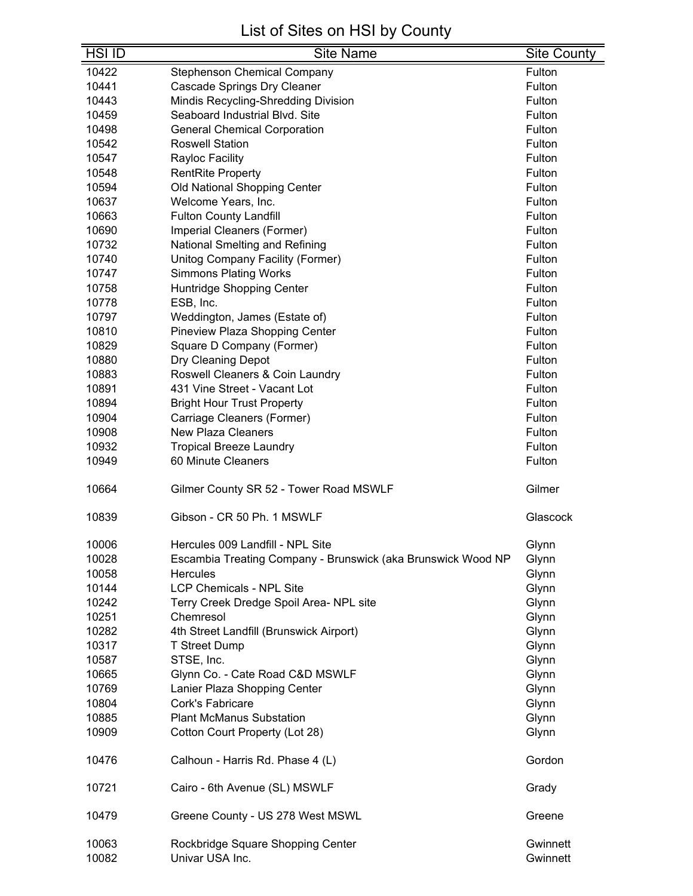| <b>HSI ID</b>  | <b>Site Name</b>                                             | <b>Site County</b>   |
|----------------|--------------------------------------------------------------|----------------------|
| 10422          | <b>Stephenson Chemical Company</b>                           | Fulton               |
| 10441          | <b>Cascade Springs Dry Cleaner</b>                           | Fulton               |
| 10443          | Mindis Recycling-Shredding Division                          | Fulton               |
| 10459          | Seaboard Industrial Blvd. Site                               | Fulton               |
| 10498          | <b>General Chemical Corporation</b>                          | Fulton               |
| 10542          | <b>Roswell Station</b>                                       | Fulton               |
| 10547          | Rayloc Facility                                              | Fulton               |
| 10548          | <b>RentRite Property</b>                                     | Fulton               |
| 10594          | Old National Shopping Center                                 | Fulton               |
| 10637          | Welcome Years, Inc.                                          | Fulton               |
| 10663          | <b>Fulton County Landfill</b>                                | Fulton               |
| 10690          | Imperial Cleaners (Former)                                   | Fulton               |
| 10732          | National Smelting and Refining                               | Fulton               |
| 10740          | Unitog Company Facility (Former)                             | Fulton               |
| 10747          | <b>Simmons Plating Works</b>                                 | Fulton               |
| 10758          | Huntridge Shopping Center                                    | Fulton               |
| 10778          | ESB, Inc.                                                    | Fulton               |
| 10797          | Weddington, James (Estate of)                                | Fulton               |
| 10810          | Pineview Plaza Shopping Center                               | Fulton               |
| 10829          | Square D Company (Former)                                    | Fulton               |
| 10880          | Dry Cleaning Depot                                           | Fulton               |
| 10883          | Roswell Cleaners & Coin Laundry                              | Fulton               |
| 10891          | 431 Vine Street - Vacant Lot                                 | Fulton               |
| 10894          | <b>Bright Hour Trust Property</b>                            | Fulton               |
| 10904          | Carriage Cleaners (Former)                                   | Fulton               |
| 10908          | <b>New Plaza Cleaners</b>                                    | Fulton               |
| 10932          | <b>Tropical Breeze Laundry</b>                               | Fulton               |
| 10949          | 60 Minute Cleaners                                           | Fulton               |
|                |                                                              |                      |
| 10664          | Gilmer County SR 52 - Tower Road MSWLF                       | Gilmer               |
| 10839          | Gibson - CR 50 Ph. 1 MSWLF                                   | Glascock             |
|                |                                                              |                      |
| 10006          | Hercules 009 Landfill - NPL Site                             | Glynn                |
| 10028          | Escambia Treating Company - Brunswick (aka Brunswick Wood NP | Glynn                |
| 10058          | <b>Hercules</b>                                              | Glynn                |
| 10144          | <b>LCP Chemicals - NPL Site</b>                              | Glynn                |
| 10242          | Terry Creek Dredge Spoil Area- NPL site                      | Glynn                |
| 10251          | Chemresol                                                    | Glynn                |
| 10282          | 4th Street Landfill (Brunswick Airport)                      | Glynn                |
| 10317          | <b>T Street Dump</b>                                         | Glynn                |
| 10587          | STSE, Inc.                                                   | Glynn                |
| 10665          | Glynn Co. - Cate Road C&D MSWLF                              | Glynn                |
| 10769          | Lanier Plaza Shopping Center                                 | Glynn                |
| 10804          | Cork's Fabricare                                             | Glynn                |
| 10885          | <b>Plant McManus Substation</b>                              | Glynn                |
| 10909          | Cotton Court Property (Lot 28)                               | Glynn                |
| 10476          | Calhoun - Harris Rd. Phase 4 (L)                             | Gordon               |
| 10721          | Cairo - 6th Avenue (SL) MSWLF                                | Grady                |
| 10479          | Greene County - US 278 West MSWL                             | Greene               |
| 10063<br>10082 | Rockbridge Square Shopping Center<br>Univar USA Inc.         | Gwinnett<br>Gwinnett |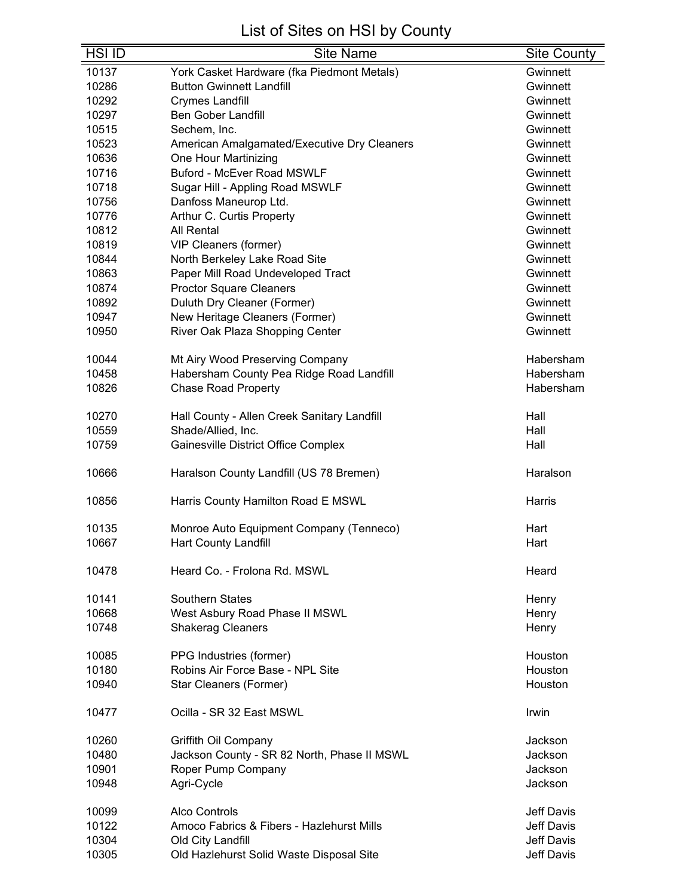| York Casket Hardware (fka Piedmont Metals)<br>10137<br>Gwinnett<br>10286<br><b>Button Gwinnett Landfill</b><br>Gwinnett<br>10292<br><b>Crymes Landfill</b><br>Gwinnett<br>10297<br><b>Ben Gober Landfill</b><br>Gwinnett<br>10515<br>Sechem, Inc.<br>Gwinnett<br>10523<br>American Amalgamated/Executive Dry Cleaners<br>Gwinnett<br>10636<br>One Hour Martinizing<br>Gwinnett<br><b>Buford - McEver Road MSWLF</b><br>10716<br>Gwinnett<br>10718<br>Sugar Hill - Appling Road MSWLF<br>Gwinnett<br>10756<br>Danfoss Maneurop Ltd.<br>Gwinnett<br>10776<br>Arthur C. Curtis Property<br>Gwinnett<br>10812<br>All Rental<br>Gwinnett<br>10819<br>VIP Cleaners (former)<br>Gwinnett<br>10844<br>North Berkeley Lake Road Site<br>Gwinnett<br>10863<br>Paper Mill Road Undeveloped Tract<br>Gwinnett<br>10874<br><b>Proctor Square Cleaners</b><br>Gwinnett<br>Duluth Dry Cleaner (Former)<br>10892<br>Gwinnett<br>10947<br>New Heritage Cleaners (Former)<br>Gwinnett<br>10950<br>River Oak Plaza Shopping Center<br>Gwinnett<br>10044<br>Mt Airy Wood Preserving Company<br>Habersham<br>10458<br>Habersham County Pea Ridge Road Landfill<br>Habersham<br>10826<br><b>Chase Road Property</b><br>Habersham<br>10270<br>Hall County - Allen Creek Sanitary Landfill<br>Hall<br>10559<br>Shade/Allied, Inc.<br>Hall<br>10759<br>Gainesville District Office Complex<br>Hall<br>10666<br>Haralson County Landfill (US 78 Bremen)<br>Haralson<br>10856<br>Harris County Hamilton Road E MSWL<br>Harris<br>10135<br>Monroe Auto Equipment Company (Tenneco)<br>Hart<br>10667<br><b>Hart County Landfill</b><br>Hart<br>10478<br>Heard Co. - Frolona Rd. MSWL<br>Heard<br>10141<br><b>Southern States</b><br>Henry<br>10668<br>West Asbury Road Phase II MSWL<br>Henry<br>10748<br><b>Shakerag Cleaners</b><br>Henry<br>10085<br>PPG Industries (former)<br>Houston<br>Robins Air Force Base - NPL Site<br>10180<br>Houston<br>10940<br>Star Cleaners (Former)<br>Houston<br>10477<br>Ocilla - SR 32 East MSWL<br>Irwin<br>10260<br>Griffith Oil Company<br>Jackson<br>10480<br>Jackson County - SR 82 North, Phase II MSWL<br>Jackson<br>10901<br>Roper Pump Company<br>Jackson<br>10948<br>Agri-Cycle<br>Jackson<br><b>Jeff Davis</b><br>10099<br>Alco Controls<br>10122<br>Amoco Fabrics & Fibers - Hazlehurst Mills<br><b>Jeff Davis</b><br>10304<br>Jeff Davis<br>Old City Landfill<br>10305<br>Jeff Davis<br>Old Hazlehurst Solid Waste Disposal Site | <b>HSI ID</b> | <b>Site Name</b> | <b>Site County</b> |
|-------------------------------------------------------------------------------------------------------------------------------------------------------------------------------------------------------------------------------------------------------------------------------------------------------------------------------------------------------------------------------------------------------------------------------------------------------------------------------------------------------------------------------------------------------------------------------------------------------------------------------------------------------------------------------------------------------------------------------------------------------------------------------------------------------------------------------------------------------------------------------------------------------------------------------------------------------------------------------------------------------------------------------------------------------------------------------------------------------------------------------------------------------------------------------------------------------------------------------------------------------------------------------------------------------------------------------------------------------------------------------------------------------------------------------------------------------------------------------------------------------------------------------------------------------------------------------------------------------------------------------------------------------------------------------------------------------------------------------------------------------------------------------------------------------------------------------------------------------------------------------------------------------------------------------------------------------------------------------------------------------------------------------------------------------------------------------------------------------------------------------------------------------------------------------------------------------------------------------------------------------------------------------------------------------------------------------------------------------------------------------------------------------------------------------------------------------|---------------|------------------|--------------------|
|                                                                                                                                                                                                                                                                                                                                                                                                                                                                                                                                                                                                                                                                                                                                                                                                                                                                                                                                                                                                                                                                                                                                                                                                                                                                                                                                                                                                                                                                                                                                                                                                                                                                                                                                                                                                                                                                                                                                                                                                                                                                                                                                                                                                                                                                                                                                                                                                                                                       |               |                  |                    |
|                                                                                                                                                                                                                                                                                                                                                                                                                                                                                                                                                                                                                                                                                                                                                                                                                                                                                                                                                                                                                                                                                                                                                                                                                                                                                                                                                                                                                                                                                                                                                                                                                                                                                                                                                                                                                                                                                                                                                                                                                                                                                                                                                                                                                                                                                                                                                                                                                                                       |               |                  |                    |
|                                                                                                                                                                                                                                                                                                                                                                                                                                                                                                                                                                                                                                                                                                                                                                                                                                                                                                                                                                                                                                                                                                                                                                                                                                                                                                                                                                                                                                                                                                                                                                                                                                                                                                                                                                                                                                                                                                                                                                                                                                                                                                                                                                                                                                                                                                                                                                                                                                                       |               |                  |                    |
|                                                                                                                                                                                                                                                                                                                                                                                                                                                                                                                                                                                                                                                                                                                                                                                                                                                                                                                                                                                                                                                                                                                                                                                                                                                                                                                                                                                                                                                                                                                                                                                                                                                                                                                                                                                                                                                                                                                                                                                                                                                                                                                                                                                                                                                                                                                                                                                                                                                       |               |                  |                    |
|                                                                                                                                                                                                                                                                                                                                                                                                                                                                                                                                                                                                                                                                                                                                                                                                                                                                                                                                                                                                                                                                                                                                                                                                                                                                                                                                                                                                                                                                                                                                                                                                                                                                                                                                                                                                                                                                                                                                                                                                                                                                                                                                                                                                                                                                                                                                                                                                                                                       |               |                  |                    |
|                                                                                                                                                                                                                                                                                                                                                                                                                                                                                                                                                                                                                                                                                                                                                                                                                                                                                                                                                                                                                                                                                                                                                                                                                                                                                                                                                                                                                                                                                                                                                                                                                                                                                                                                                                                                                                                                                                                                                                                                                                                                                                                                                                                                                                                                                                                                                                                                                                                       |               |                  |                    |
|                                                                                                                                                                                                                                                                                                                                                                                                                                                                                                                                                                                                                                                                                                                                                                                                                                                                                                                                                                                                                                                                                                                                                                                                                                                                                                                                                                                                                                                                                                                                                                                                                                                                                                                                                                                                                                                                                                                                                                                                                                                                                                                                                                                                                                                                                                                                                                                                                                                       |               |                  |                    |
|                                                                                                                                                                                                                                                                                                                                                                                                                                                                                                                                                                                                                                                                                                                                                                                                                                                                                                                                                                                                                                                                                                                                                                                                                                                                                                                                                                                                                                                                                                                                                                                                                                                                                                                                                                                                                                                                                                                                                                                                                                                                                                                                                                                                                                                                                                                                                                                                                                                       |               |                  |                    |
|                                                                                                                                                                                                                                                                                                                                                                                                                                                                                                                                                                                                                                                                                                                                                                                                                                                                                                                                                                                                                                                                                                                                                                                                                                                                                                                                                                                                                                                                                                                                                                                                                                                                                                                                                                                                                                                                                                                                                                                                                                                                                                                                                                                                                                                                                                                                                                                                                                                       |               |                  |                    |
|                                                                                                                                                                                                                                                                                                                                                                                                                                                                                                                                                                                                                                                                                                                                                                                                                                                                                                                                                                                                                                                                                                                                                                                                                                                                                                                                                                                                                                                                                                                                                                                                                                                                                                                                                                                                                                                                                                                                                                                                                                                                                                                                                                                                                                                                                                                                                                                                                                                       |               |                  |                    |
|                                                                                                                                                                                                                                                                                                                                                                                                                                                                                                                                                                                                                                                                                                                                                                                                                                                                                                                                                                                                                                                                                                                                                                                                                                                                                                                                                                                                                                                                                                                                                                                                                                                                                                                                                                                                                                                                                                                                                                                                                                                                                                                                                                                                                                                                                                                                                                                                                                                       |               |                  |                    |
|                                                                                                                                                                                                                                                                                                                                                                                                                                                                                                                                                                                                                                                                                                                                                                                                                                                                                                                                                                                                                                                                                                                                                                                                                                                                                                                                                                                                                                                                                                                                                                                                                                                                                                                                                                                                                                                                                                                                                                                                                                                                                                                                                                                                                                                                                                                                                                                                                                                       |               |                  |                    |
|                                                                                                                                                                                                                                                                                                                                                                                                                                                                                                                                                                                                                                                                                                                                                                                                                                                                                                                                                                                                                                                                                                                                                                                                                                                                                                                                                                                                                                                                                                                                                                                                                                                                                                                                                                                                                                                                                                                                                                                                                                                                                                                                                                                                                                                                                                                                                                                                                                                       |               |                  |                    |
|                                                                                                                                                                                                                                                                                                                                                                                                                                                                                                                                                                                                                                                                                                                                                                                                                                                                                                                                                                                                                                                                                                                                                                                                                                                                                                                                                                                                                                                                                                                                                                                                                                                                                                                                                                                                                                                                                                                                                                                                                                                                                                                                                                                                                                                                                                                                                                                                                                                       |               |                  |                    |
|                                                                                                                                                                                                                                                                                                                                                                                                                                                                                                                                                                                                                                                                                                                                                                                                                                                                                                                                                                                                                                                                                                                                                                                                                                                                                                                                                                                                                                                                                                                                                                                                                                                                                                                                                                                                                                                                                                                                                                                                                                                                                                                                                                                                                                                                                                                                                                                                                                                       |               |                  |                    |
|                                                                                                                                                                                                                                                                                                                                                                                                                                                                                                                                                                                                                                                                                                                                                                                                                                                                                                                                                                                                                                                                                                                                                                                                                                                                                                                                                                                                                                                                                                                                                                                                                                                                                                                                                                                                                                                                                                                                                                                                                                                                                                                                                                                                                                                                                                                                                                                                                                                       |               |                  |                    |
|                                                                                                                                                                                                                                                                                                                                                                                                                                                                                                                                                                                                                                                                                                                                                                                                                                                                                                                                                                                                                                                                                                                                                                                                                                                                                                                                                                                                                                                                                                                                                                                                                                                                                                                                                                                                                                                                                                                                                                                                                                                                                                                                                                                                                                                                                                                                                                                                                                                       |               |                  |                    |
|                                                                                                                                                                                                                                                                                                                                                                                                                                                                                                                                                                                                                                                                                                                                                                                                                                                                                                                                                                                                                                                                                                                                                                                                                                                                                                                                                                                                                                                                                                                                                                                                                                                                                                                                                                                                                                                                                                                                                                                                                                                                                                                                                                                                                                                                                                                                                                                                                                                       |               |                  |                    |
|                                                                                                                                                                                                                                                                                                                                                                                                                                                                                                                                                                                                                                                                                                                                                                                                                                                                                                                                                                                                                                                                                                                                                                                                                                                                                                                                                                                                                                                                                                                                                                                                                                                                                                                                                                                                                                                                                                                                                                                                                                                                                                                                                                                                                                                                                                                                                                                                                                                       |               |                  |                    |
|                                                                                                                                                                                                                                                                                                                                                                                                                                                                                                                                                                                                                                                                                                                                                                                                                                                                                                                                                                                                                                                                                                                                                                                                                                                                                                                                                                                                                                                                                                                                                                                                                                                                                                                                                                                                                                                                                                                                                                                                                                                                                                                                                                                                                                                                                                                                                                                                                                                       |               |                  |                    |
|                                                                                                                                                                                                                                                                                                                                                                                                                                                                                                                                                                                                                                                                                                                                                                                                                                                                                                                                                                                                                                                                                                                                                                                                                                                                                                                                                                                                                                                                                                                                                                                                                                                                                                                                                                                                                                                                                                                                                                                                                                                                                                                                                                                                                                                                                                                                                                                                                                                       |               |                  |                    |
|                                                                                                                                                                                                                                                                                                                                                                                                                                                                                                                                                                                                                                                                                                                                                                                                                                                                                                                                                                                                                                                                                                                                                                                                                                                                                                                                                                                                                                                                                                                                                                                                                                                                                                                                                                                                                                                                                                                                                                                                                                                                                                                                                                                                                                                                                                                                                                                                                                                       |               |                  |                    |
|                                                                                                                                                                                                                                                                                                                                                                                                                                                                                                                                                                                                                                                                                                                                                                                                                                                                                                                                                                                                                                                                                                                                                                                                                                                                                                                                                                                                                                                                                                                                                                                                                                                                                                                                                                                                                                                                                                                                                                                                                                                                                                                                                                                                                                                                                                                                                                                                                                                       |               |                  |                    |
|                                                                                                                                                                                                                                                                                                                                                                                                                                                                                                                                                                                                                                                                                                                                                                                                                                                                                                                                                                                                                                                                                                                                                                                                                                                                                                                                                                                                                                                                                                                                                                                                                                                                                                                                                                                                                                                                                                                                                                                                                                                                                                                                                                                                                                                                                                                                                                                                                                                       |               |                  |                    |
|                                                                                                                                                                                                                                                                                                                                                                                                                                                                                                                                                                                                                                                                                                                                                                                                                                                                                                                                                                                                                                                                                                                                                                                                                                                                                                                                                                                                                                                                                                                                                                                                                                                                                                                                                                                                                                                                                                                                                                                                                                                                                                                                                                                                                                                                                                                                                                                                                                                       |               |                  |                    |
|                                                                                                                                                                                                                                                                                                                                                                                                                                                                                                                                                                                                                                                                                                                                                                                                                                                                                                                                                                                                                                                                                                                                                                                                                                                                                                                                                                                                                                                                                                                                                                                                                                                                                                                                                                                                                                                                                                                                                                                                                                                                                                                                                                                                                                                                                                                                                                                                                                                       |               |                  |                    |
|                                                                                                                                                                                                                                                                                                                                                                                                                                                                                                                                                                                                                                                                                                                                                                                                                                                                                                                                                                                                                                                                                                                                                                                                                                                                                                                                                                                                                                                                                                                                                                                                                                                                                                                                                                                                                                                                                                                                                                                                                                                                                                                                                                                                                                                                                                                                                                                                                                                       |               |                  |                    |
|                                                                                                                                                                                                                                                                                                                                                                                                                                                                                                                                                                                                                                                                                                                                                                                                                                                                                                                                                                                                                                                                                                                                                                                                                                                                                                                                                                                                                                                                                                                                                                                                                                                                                                                                                                                                                                                                                                                                                                                                                                                                                                                                                                                                                                                                                                                                                                                                                                                       |               |                  |                    |
|                                                                                                                                                                                                                                                                                                                                                                                                                                                                                                                                                                                                                                                                                                                                                                                                                                                                                                                                                                                                                                                                                                                                                                                                                                                                                                                                                                                                                                                                                                                                                                                                                                                                                                                                                                                                                                                                                                                                                                                                                                                                                                                                                                                                                                                                                                                                                                                                                                                       |               |                  |                    |
|                                                                                                                                                                                                                                                                                                                                                                                                                                                                                                                                                                                                                                                                                                                                                                                                                                                                                                                                                                                                                                                                                                                                                                                                                                                                                                                                                                                                                                                                                                                                                                                                                                                                                                                                                                                                                                                                                                                                                                                                                                                                                                                                                                                                                                                                                                                                                                                                                                                       |               |                  |                    |
|                                                                                                                                                                                                                                                                                                                                                                                                                                                                                                                                                                                                                                                                                                                                                                                                                                                                                                                                                                                                                                                                                                                                                                                                                                                                                                                                                                                                                                                                                                                                                                                                                                                                                                                                                                                                                                                                                                                                                                                                                                                                                                                                                                                                                                                                                                                                                                                                                                                       |               |                  |                    |
|                                                                                                                                                                                                                                                                                                                                                                                                                                                                                                                                                                                                                                                                                                                                                                                                                                                                                                                                                                                                                                                                                                                                                                                                                                                                                                                                                                                                                                                                                                                                                                                                                                                                                                                                                                                                                                                                                                                                                                                                                                                                                                                                                                                                                                                                                                                                                                                                                                                       |               |                  |                    |
|                                                                                                                                                                                                                                                                                                                                                                                                                                                                                                                                                                                                                                                                                                                                                                                                                                                                                                                                                                                                                                                                                                                                                                                                                                                                                                                                                                                                                                                                                                                                                                                                                                                                                                                                                                                                                                                                                                                                                                                                                                                                                                                                                                                                                                                                                                                                                                                                                                                       |               |                  |                    |
|                                                                                                                                                                                                                                                                                                                                                                                                                                                                                                                                                                                                                                                                                                                                                                                                                                                                                                                                                                                                                                                                                                                                                                                                                                                                                                                                                                                                                                                                                                                                                                                                                                                                                                                                                                                                                                                                                                                                                                                                                                                                                                                                                                                                                                                                                                                                                                                                                                                       |               |                  |                    |
|                                                                                                                                                                                                                                                                                                                                                                                                                                                                                                                                                                                                                                                                                                                                                                                                                                                                                                                                                                                                                                                                                                                                                                                                                                                                                                                                                                                                                                                                                                                                                                                                                                                                                                                                                                                                                                                                                                                                                                                                                                                                                                                                                                                                                                                                                                                                                                                                                                                       |               |                  |                    |
|                                                                                                                                                                                                                                                                                                                                                                                                                                                                                                                                                                                                                                                                                                                                                                                                                                                                                                                                                                                                                                                                                                                                                                                                                                                                                                                                                                                                                                                                                                                                                                                                                                                                                                                                                                                                                                                                                                                                                                                                                                                                                                                                                                                                                                                                                                                                                                                                                                                       |               |                  |                    |
|                                                                                                                                                                                                                                                                                                                                                                                                                                                                                                                                                                                                                                                                                                                                                                                                                                                                                                                                                                                                                                                                                                                                                                                                                                                                                                                                                                                                                                                                                                                                                                                                                                                                                                                                                                                                                                                                                                                                                                                                                                                                                                                                                                                                                                                                                                                                                                                                                                                       |               |                  |                    |
|                                                                                                                                                                                                                                                                                                                                                                                                                                                                                                                                                                                                                                                                                                                                                                                                                                                                                                                                                                                                                                                                                                                                                                                                                                                                                                                                                                                                                                                                                                                                                                                                                                                                                                                                                                                                                                                                                                                                                                                                                                                                                                                                                                                                                                                                                                                                                                                                                                                       |               |                  |                    |
|                                                                                                                                                                                                                                                                                                                                                                                                                                                                                                                                                                                                                                                                                                                                                                                                                                                                                                                                                                                                                                                                                                                                                                                                                                                                                                                                                                                                                                                                                                                                                                                                                                                                                                                                                                                                                                                                                                                                                                                                                                                                                                                                                                                                                                                                                                                                                                                                                                                       |               |                  |                    |
|                                                                                                                                                                                                                                                                                                                                                                                                                                                                                                                                                                                                                                                                                                                                                                                                                                                                                                                                                                                                                                                                                                                                                                                                                                                                                                                                                                                                                                                                                                                                                                                                                                                                                                                                                                                                                                                                                                                                                                                                                                                                                                                                                                                                                                                                                                                                                                                                                                                       |               |                  |                    |
|                                                                                                                                                                                                                                                                                                                                                                                                                                                                                                                                                                                                                                                                                                                                                                                                                                                                                                                                                                                                                                                                                                                                                                                                                                                                                                                                                                                                                                                                                                                                                                                                                                                                                                                                                                                                                                                                                                                                                                                                                                                                                                                                                                                                                                                                                                                                                                                                                                                       |               |                  |                    |
|                                                                                                                                                                                                                                                                                                                                                                                                                                                                                                                                                                                                                                                                                                                                                                                                                                                                                                                                                                                                                                                                                                                                                                                                                                                                                                                                                                                                                                                                                                                                                                                                                                                                                                                                                                                                                                                                                                                                                                                                                                                                                                                                                                                                                                                                                                                                                                                                                                                       |               |                  |                    |
|                                                                                                                                                                                                                                                                                                                                                                                                                                                                                                                                                                                                                                                                                                                                                                                                                                                                                                                                                                                                                                                                                                                                                                                                                                                                                                                                                                                                                                                                                                                                                                                                                                                                                                                                                                                                                                                                                                                                                                                                                                                                                                                                                                                                                                                                                                                                                                                                                                                       |               |                  |                    |
|                                                                                                                                                                                                                                                                                                                                                                                                                                                                                                                                                                                                                                                                                                                                                                                                                                                                                                                                                                                                                                                                                                                                                                                                                                                                                                                                                                                                                                                                                                                                                                                                                                                                                                                                                                                                                                                                                                                                                                                                                                                                                                                                                                                                                                                                                                                                                                                                                                                       |               |                  |                    |
|                                                                                                                                                                                                                                                                                                                                                                                                                                                                                                                                                                                                                                                                                                                                                                                                                                                                                                                                                                                                                                                                                                                                                                                                                                                                                                                                                                                                                                                                                                                                                                                                                                                                                                                                                                                                                                                                                                                                                                                                                                                                                                                                                                                                                                                                                                                                                                                                                                                       |               |                  |                    |
|                                                                                                                                                                                                                                                                                                                                                                                                                                                                                                                                                                                                                                                                                                                                                                                                                                                                                                                                                                                                                                                                                                                                                                                                                                                                                                                                                                                                                                                                                                                                                                                                                                                                                                                                                                                                                                                                                                                                                                                                                                                                                                                                                                                                                                                                                                                                                                                                                                                       |               |                  |                    |
|                                                                                                                                                                                                                                                                                                                                                                                                                                                                                                                                                                                                                                                                                                                                                                                                                                                                                                                                                                                                                                                                                                                                                                                                                                                                                                                                                                                                                                                                                                                                                                                                                                                                                                                                                                                                                                                                                                                                                                                                                                                                                                                                                                                                                                                                                                                                                                                                                                                       |               |                  |                    |
|                                                                                                                                                                                                                                                                                                                                                                                                                                                                                                                                                                                                                                                                                                                                                                                                                                                                                                                                                                                                                                                                                                                                                                                                                                                                                                                                                                                                                                                                                                                                                                                                                                                                                                                                                                                                                                                                                                                                                                                                                                                                                                                                                                                                                                                                                                                                                                                                                                                       |               |                  |                    |
|                                                                                                                                                                                                                                                                                                                                                                                                                                                                                                                                                                                                                                                                                                                                                                                                                                                                                                                                                                                                                                                                                                                                                                                                                                                                                                                                                                                                                                                                                                                                                                                                                                                                                                                                                                                                                                                                                                                                                                                                                                                                                                                                                                                                                                                                                                                                                                                                                                                       |               |                  |                    |
|                                                                                                                                                                                                                                                                                                                                                                                                                                                                                                                                                                                                                                                                                                                                                                                                                                                                                                                                                                                                                                                                                                                                                                                                                                                                                                                                                                                                                                                                                                                                                                                                                                                                                                                                                                                                                                                                                                                                                                                                                                                                                                                                                                                                                                                                                                                                                                                                                                                       |               |                  |                    |
|                                                                                                                                                                                                                                                                                                                                                                                                                                                                                                                                                                                                                                                                                                                                                                                                                                                                                                                                                                                                                                                                                                                                                                                                                                                                                                                                                                                                                                                                                                                                                                                                                                                                                                                                                                                                                                                                                                                                                                                                                                                                                                                                                                                                                                                                                                                                                                                                                                                       |               |                  |                    |
|                                                                                                                                                                                                                                                                                                                                                                                                                                                                                                                                                                                                                                                                                                                                                                                                                                                                                                                                                                                                                                                                                                                                                                                                                                                                                                                                                                                                                                                                                                                                                                                                                                                                                                                                                                                                                                                                                                                                                                                                                                                                                                                                                                                                                                                                                                                                                                                                                                                       |               |                  |                    |
|                                                                                                                                                                                                                                                                                                                                                                                                                                                                                                                                                                                                                                                                                                                                                                                                                                                                                                                                                                                                                                                                                                                                                                                                                                                                                                                                                                                                                                                                                                                                                                                                                                                                                                                                                                                                                                                                                                                                                                                                                                                                                                                                                                                                                                                                                                                                                                                                                                                       |               |                  |                    |
|                                                                                                                                                                                                                                                                                                                                                                                                                                                                                                                                                                                                                                                                                                                                                                                                                                                                                                                                                                                                                                                                                                                                                                                                                                                                                                                                                                                                                                                                                                                                                                                                                                                                                                                                                                                                                                                                                                                                                                                                                                                                                                                                                                                                                                                                                                                                                                                                                                                       |               |                  |                    |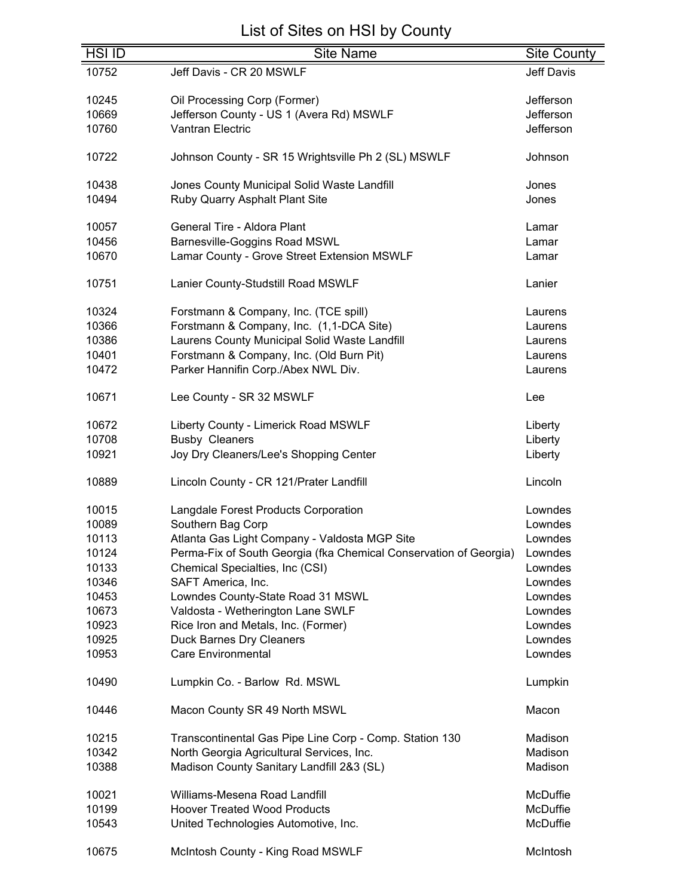| <b>HSI ID</b> | <b>Site Name</b>                                                          | <b>Site County</b> |
|---------------|---------------------------------------------------------------------------|--------------------|
| 10752         | Jeff Davis - CR 20 MSWLF                                                  | Jeff Davis         |
|               |                                                                           |                    |
| 10245         | Oil Processing Corp (Former)                                              | Jefferson          |
| 10669         | Jefferson County - US 1 (Avera Rd) MSWLF                                  | Jefferson          |
| 10760         | <b>Vantran Electric</b>                                                   | Jefferson          |
|               |                                                                           |                    |
| 10722         | Johnson County - SR 15 Wrightsville Ph 2 (SL) MSWLF                       | Johnson            |
|               |                                                                           |                    |
| 10438         | Jones County Municipal Solid Waste Landfill                               | Jones              |
| 10494         | Ruby Quarry Asphalt Plant Site                                            | Jones              |
|               |                                                                           |                    |
| 10057         | General Tire - Aldora Plant                                               | Lamar              |
| 10456         | <b>Barnesville-Goggins Road MSWL</b>                                      | Lamar              |
| 10670         | Lamar County - Grove Street Extension MSWLF                               | Lamar              |
|               |                                                                           |                    |
| 10751         | Lanier County-Studstill Road MSWLF                                        | Lanier             |
|               |                                                                           |                    |
| 10324         | Forstmann & Company, Inc. (TCE spill)                                     | Laurens            |
| 10366         | Forstmann & Company, Inc. (1,1-DCA Site)                                  | Laurens            |
| 10386         | Laurens County Municipal Solid Waste Landfill                             | Laurens            |
| 10401         | Forstmann & Company, Inc. (Old Burn Pit)                                  | Laurens            |
| 10472         | Parker Hannifin Corp./Abex NWL Div.                                       | Laurens            |
|               |                                                                           |                    |
| 10671         | Lee County - SR 32 MSWLF                                                  | Lee                |
|               |                                                                           |                    |
| 10672         | Liberty County - Limerick Road MSWLF                                      | Liberty            |
| 10708         | <b>Busby Cleaners</b>                                                     | Liberty            |
| 10921         | Joy Dry Cleaners/Lee's Shopping Center                                    | Liberty            |
|               |                                                                           |                    |
| 10889         | Lincoln County - CR 121/Prater Landfill                                   | Lincoln            |
|               |                                                                           |                    |
| 10015         | Langdale Forest Products Corporation                                      | Lowndes            |
| 10089         | Southern Bag Corp                                                         | Lowndes            |
| 10113         | Atlanta Gas Light Company - Valdosta MGP Site                             | Lowndes            |
| 10124         | Perma-Fix of South Georgia (fka Chemical Conservation of Georgia) Lowndes |                    |
| 10133         | Chemical Specialties, Inc (CSI)                                           | Lowndes            |
| 10346         | SAFT America, Inc.                                                        | Lowndes            |
| 10453         | Lowndes County-State Road 31 MSWL                                         | Lowndes            |
| 10673         | Valdosta - Wetherington Lane SWLF                                         | Lowndes            |
|               |                                                                           |                    |
| 10923         | Rice Iron and Metals, Inc. (Former)                                       | Lowndes            |
| 10925         | <b>Duck Barnes Dry Cleaners</b>                                           | Lowndes            |
| 10953         | <b>Care Environmental</b>                                                 | Lowndes            |
|               |                                                                           |                    |
| 10490         | Lumpkin Co. - Barlow Rd. MSWL                                             | Lumpkin            |
|               |                                                                           | Macon              |
| 10446         | Macon County SR 49 North MSWL                                             |                    |
| 10215         | Transcontinental Gas Pipe Line Corp - Comp. Station 130                   | Madison            |
| 10342         | North Georgia Agricultural Services, Inc.                                 | Madison            |
| 10388         | Madison County Sanitary Landfill 2&3 (SL)                                 | Madison            |
|               |                                                                           |                    |
| 10021         | Williams-Mesena Road Landfill                                             | McDuffie           |
| 10199         | <b>Hoover Treated Wood Products</b>                                       | McDuffie           |
| 10543         |                                                                           | McDuffie           |
|               | United Technologies Automotive, Inc.                                      |                    |
| 10675         | McIntosh County - King Road MSWLF                                         | McIntosh           |
|               |                                                                           |                    |

=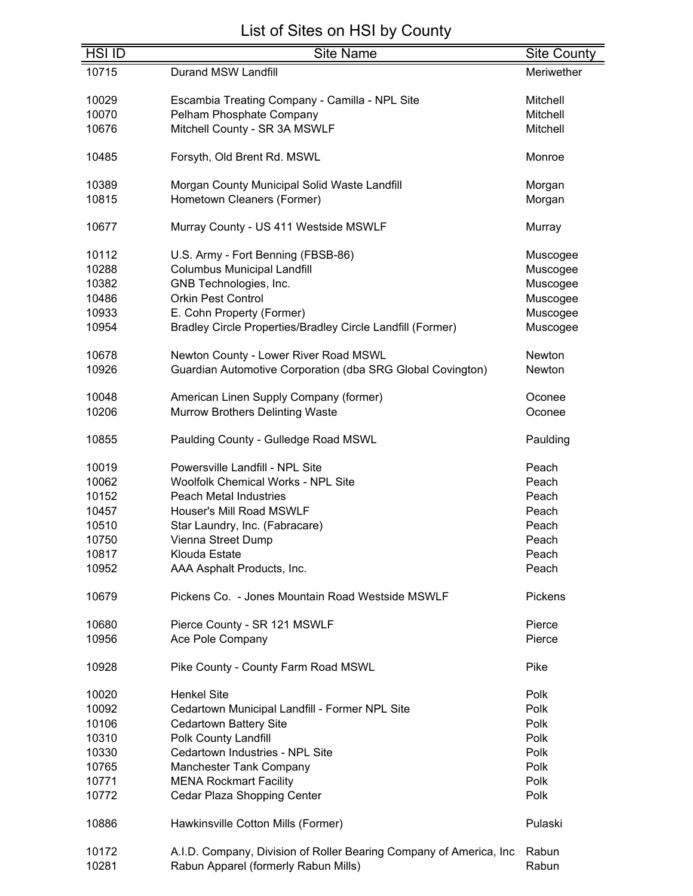| <b>HSI ID</b> | <b>Site Name</b>                                                   | <b>Site County</b> |
|---------------|--------------------------------------------------------------------|--------------------|
| 10715         | Durand MSW Landfill                                                | Meriwether         |
| 10029         | Escambia Treating Company - Camilla - NPL Site                     | Mitchell           |
| 10070         | Pelham Phosphate Company                                           | <b>Mitchell</b>    |
| 10676         | Mitchell County - SR 3A MSWLF                                      | Mitchell           |
|               |                                                                    |                    |
| 10485         | Forsyth, Old Brent Rd. MSWL                                        | Monroe             |
| 10389         | Morgan County Municipal Solid Waste Landfill                       | Morgan             |
| 10815         | Hometown Cleaners (Former)                                         | Morgan             |
|               |                                                                    |                    |
| 10677         | Murray County - US 411 Westside MSWLF                              | Murray             |
| 10112         | U.S. Army - Fort Benning (FBSB-86)                                 | Muscogee           |
| 10288         | <b>Columbus Municipal Landfill</b>                                 | Muscogee           |
| 10382         | GNB Technologies, Inc.                                             | Muscogee           |
| 10486         | <b>Orkin Pest Control</b>                                          | Muscogee           |
| 10933         | E. Cohn Property (Former)                                          | Muscogee           |
| 10954         | Bradley Circle Properties/Bradley Circle Landfill (Former)         | Muscogee           |
| 10678         | Newton County - Lower River Road MSWL                              | Newton             |
| 10926         | Guardian Automotive Corporation (dba SRG Global Covington)         | Newton             |
|               |                                                                    |                    |
| 10048         | American Linen Supply Company (former)                             | Oconee             |
| 10206         | <b>Murrow Brothers Delinting Waste</b>                             | Oconee             |
| 10855         | Paulding County - Gulledge Road MSWL                               | Paulding           |
| 10019         | Powersville Landfill - NPL Site                                    | Peach              |
| 10062         | <b>Woolfolk Chemical Works - NPL Site</b>                          | Peach              |
| 10152         | <b>Peach Metal Industries</b>                                      | Peach              |
| 10457         | Houser's Mill Road MSWLF                                           | Peach              |
| 10510         | Star Laundry, Inc. (Fabracare)                                     | Peach              |
| 10750         | Vienna Street Dump                                                 | Peach              |
| 10817         | Klouda Estate                                                      | Peach              |
|               |                                                                    |                    |
| 10952         | AAA Asphalt Products, Inc.                                         | Peach              |
| 10679         | Pickens Co. - Jones Mountain Road Westside MSWLF                   | Pickens            |
| 10680         | Pierce County - SR 121 MSWLF                                       | Pierce             |
| 10956         | Ace Pole Company                                                   | Pierce             |
| 10928         | Pike County - County Farm Road MSWL                                | Pike               |
| 10020         | <b>Henkel Site</b>                                                 | Polk               |
| 10092         | Cedartown Municipal Landfill - Former NPL Site                     | Polk               |
| 10106         | <b>Cedartown Battery Site</b>                                      | Polk               |
| 10310         | Polk County Landfill                                               | Polk               |
| 10330         | Cedartown Industries - NPL Site                                    | Polk               |
| 10765         | Manchester Tank Company                                            | Polk               |
| 10771         | <b>MENA Rockmart Facility</b>                                      | Polk               |
|               |                                                                    |                    |
| 10772         | Cedar Plaza Shopping Center                                        | Polk               |
| 10886         | Hawkinsville Cotton Mills (Former)                                 | Pulaski            |
| 10172         | A.I.D. Company, Division of Roller Bearing Company of America, Inc | Rabun              |
| 10281         | Rabun Apparel (formerly Rabun Mills)                               | Rabun              |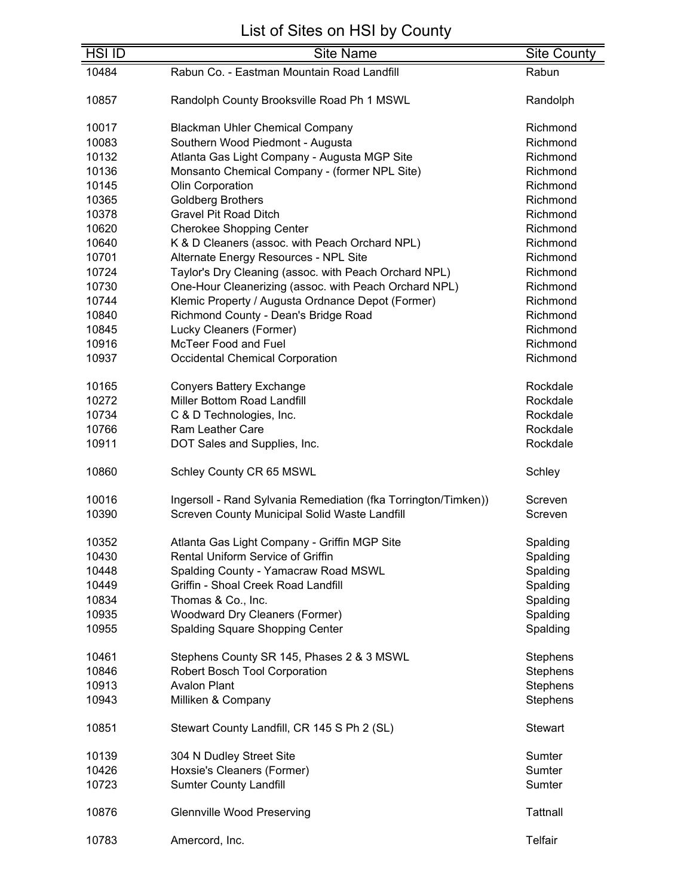| <b>HSI ID</b>  | <b>Site Name</b>                                                                                               | <b>Site County</b>   |
|----------------|----------------------------------------------------------------------------------------------------------------|----------------------|
| 10484          | Rabun Co. - Eastman Mountain Road Landfill                                                                     | Rabun                |
|                |                                                                                                                |                      |
| 10857          | Randolph County Brooksville Road Ph 1 MSWL                                                                     | Randolph             |
| 10017          | <b>Blackman Uhler Chemical Company</b>                                                                         | Richmond             |
| 10083          | Southern Wood Piedmont - Augusta                                                                               | Richmond             |
| 10132          | Atlanta Gas Light Company - Augusta MGP Site                                                                   | Richmond             |
| 10136          |                                                                                                                |                      |
|                | Monsanto Chemical Company - (former NPL Site)                                                                  | Richmond<br>Richmond |
| 10145          | Olin Corporation                                                                                               | Richmond             |
| 10365<br>10378 | <b>Goldberg Brothers</b><br><b>Gravel Pit Road Ditch</b>                                                       | Richmond             |
| 10620          |                                                                                                                | Richmond             |
| 10640          | <b>Cherokee Shopping Center</b>                                                                                | Richmond             |
| 10701          | K & D Cleaners (assoc. with Peach Orchard NPL)                                                                 | Richmond             |
|                | Alternate Energy Resources - NPL Site                                                                          |                      |
| 10724<br>10730 | Taylor's Dry Cleaning (assoc. with Peach Orchard NPL)<br>One-Hour Cleanerizing (assoc. with Peach Orchard NPL) | Richmond             |
| 10744          |                                                                                                                | Richmond<br>Richmond |
|                | Klemic Property / Augusta Ordnance Depot (Former)                                                              | Richmond             |
| 10840          | Richmond County - Dean's Bridge Road                                                                           |                      |
| 10845          | Lucky Cleaners (Former)<br><b>McTeer Food and Fuel</b>                                                         | Richmond             |
| 10916          |                                                                                                                | Richmond             |
| 10937          | <b>Occidental Chemical Corporation</b>                                                                         | Richmond             |
| 10165          | <b>Conyers Battery Exchange</b>                                                                                | Rockdale             |
| 10272          | Miller Bottom Road Landfill                                                                                    | Rockdale             |
| 10734          | C & D Technologies, Inc.                                                                                       | Rockdale             |
| 10766          | <b>Ram Leather Care</b>                                                                                        | Rockdale             |
| 10911          | DOT Sales and Supplies, Inc.                                                                                   | Rockdale             |
| 10860          | Schley County CR 65 MSWL                                                                                       | Schley               |
|                |                                                                                                                |                      |
| 10016          | Ingersoll - Rand Sylvania Remediation (fka Torrington/Timken))                                                 | Screven              |
| 10390          | Screven County Municipal Solid Waste Landfill                                                                  | Screven              |
|                | Atlanta Gas Light Company - Griffin MGP Site                                                                   |                      |
| 10352<br>10430 | Rental Uniform Service of Griffin                                                                              | Spalding             |
| 10448          |                                                                                                                | Spalding             |
|                | Spalding County - Yamacraw Road MSWL                                                                           | Spalding             |
| 10449          | Griffin - Shoal Creek Road Landfill                                                                            | Spalding             |
| 10834          | Thomas & Co., Inc.                                                                                             | Spalding             |
| 10935          | <b>Woodward Dry Cleaners (Former)</b>                                                                          | Spalding             |
| 10955          | Spalding Square Shopping Center                                                                                | Spalding             |
| 10461          | Stephens County SR 145, Phases 2 & 3 MSWL                                                                      | Stephens             |
| 10846          | Robert Bosch Tool Corporation                                                                                  | <b>Stephens</b>      |
| 10913          | <b>Avalon Plant</b>                                                                                            | Stephens             |
| 10943          | Milliken & Company                                                                                             | Stephens             |
| 10851          | Stewart County Landfill, CR 145 S Ph 2 (SL)                                                                    | <b>Stewart</b>       |
| 10139          | 304 N Dudley Street Site                                                                                       | Sumter               |
| 10426          | Hoxsie's Cleaners (Former)                                                                                     | Sumter               |
| 10723          | <b>Sumter County Landfill</b>                                                                                  | Sumter               |
|                |                                                                                                                |                      |
| 10876          | <b>Glennville Wood Preserving</b>                                                                              | <b>Tattnall</b>      |
| 10783          | Amercord, Inc.                                                                                                 | Telfair              |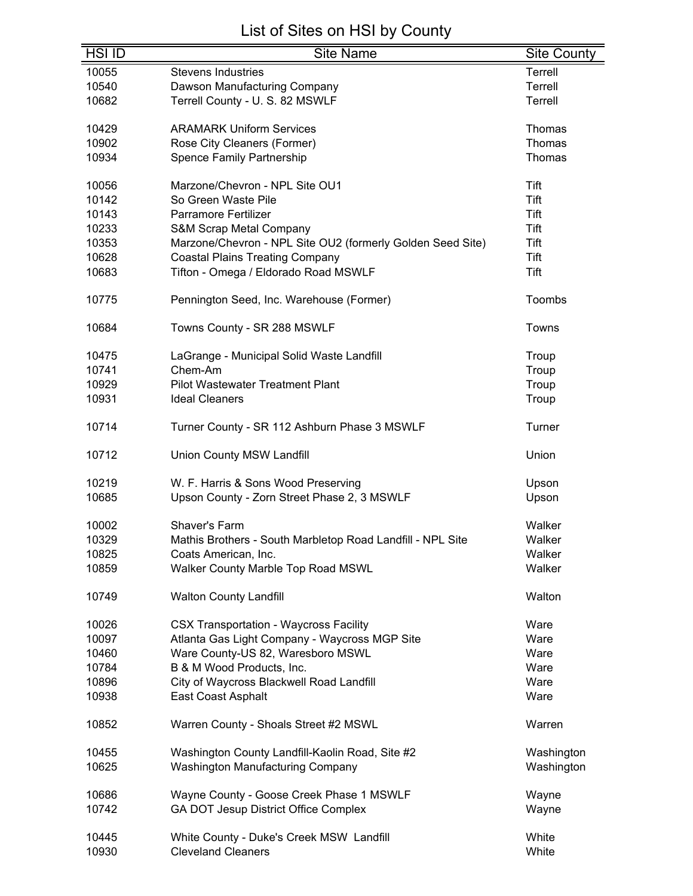| <b>HSI ID</b> | <b>Site Name</b>                                           | <b>Site County</b> |
|---------------|------------------------------------------------------------|--------------------|
| 10055         | <b>Stevens Industries</b>                                  | Terrell            |
| 10540         | Dawson Manufacturing Company                               | Terrell            |
| 10682         | Terrell County - U. S. 82 MSWLF                            | Terrell            |
|               |                                                            |                    |
| 10429         | <b>ARAMARK Uniform Services</b>                            | Thomas             |
| 10902         | Rose City Cleaners (Former)                                | Thomas             |
| 10934         | <b>Spence Family Partnership</b>                           | Thomas             |
|               |                                                            |                    |
| 10056         | Marzone/Chevron - NPL Site OU1                             | Tift               |
| 10142         | So Green Waste Pile                                        | Tift               |
| 10143         | Parramore Fertilizer                                       | Tift               |
| 10233         | <b>S&amp;M Scrap Metal Company</b>                         | Tift               |
| 10353         | Marzone/Chevron - NPL Site OU2 (formerly Golden Seed Site) | Tift               |
| 10628         | <b>Coastal Plains Treating Company</b>                     | Tift               |
| 10683         | Tifton - Omega / Eldorado Road MSWLF                       | Tift               |
|               |                                                            |                    |
| 10775         | Pennington Seed, Inc. Warehouse (Former)                   | Toombs             |
|               |                                                            |                    |
| 10684         | Towns County - SR 288 MSWLF                                | Towns              |
|               |                                                            |                    |
| 10475         | LaGrange - Municipal Solid Waste Landfill                  | Troup              |
| 10741         | Chem-Am                                                    | Troup              |
| 10929         | <b>Pilot Wastewater Treatment Plant</b>                    | Troup              |
| 10931         | <b>Ideal Cleaners</b>                                      | Troup              |
|               |                                                            |                    |
| 10714         | Turner County - SR 112 Ashburn Phase 3 MSWLF               | Turner             |
| 10712         | Union County MSW Landfill                                  | Union              |
|               |                                                            |                    |
| 10219         | W. F. Harris & Sons Wood Preserving                        | Upson              |
| 10685         | Upson County - Zorn Street Phase 2, 3 MSWLF                | Upson              |
|               |                                                            |                    |
| 10002         | Shaver's Farm                                              | Walker             |
| 10329         | Mathis Brothers - South Marbletop Road Landfill - NPL Site | Walker             |
| 10825         | Coats American, Inc.                                       | Walker             |
| 10859         | Walker County Marble Top Road MSWL                         | Walker             |
|               |                                                            |                    |
| 10749         | <b>Walton County Landfill</b>                              | Walton             |
| 10026         | <b>CSX Transportation - Waycross Facility</b>              | Ware               |
| 10097         | Atlanta Gas Light Company - Waycross MGP Site              | Ware               |
| 10460         | Ware County-US 82, Waresboro MSWL                          | Ware               |
| 10784         | B & M Wood Products, Inc.                                  | Ware               |
| 10896         | City of Waycross Blackwell Road Landfill                   | Ware               |
| 10938         | East Coast Asphalt                                         | Ware               |
|               |                                                            |                    |
| 10852         | Warren County - Shoals Street #2 MSWL                      | Warren             |
| 10455         | Washington County Landfill-Kaolin Road, Site #2            | Washington         |
| 10625         | Washington Manufacturing Company                           | Washington         |
|               |                                                            |                    |
| 10686         | Wayne County - Goose Creek Phase 1 MSWLF                   | Wayne              |
| 10742         | GA DOT Jesup District Office Complex                       | Wayne              |
|               |                                                            |                    |
| 10445         | White County - Duke's Creek MSW Landfill                   | White              |
| 10930         | <b>Cleveland Cleaners</b>                                  | White              |